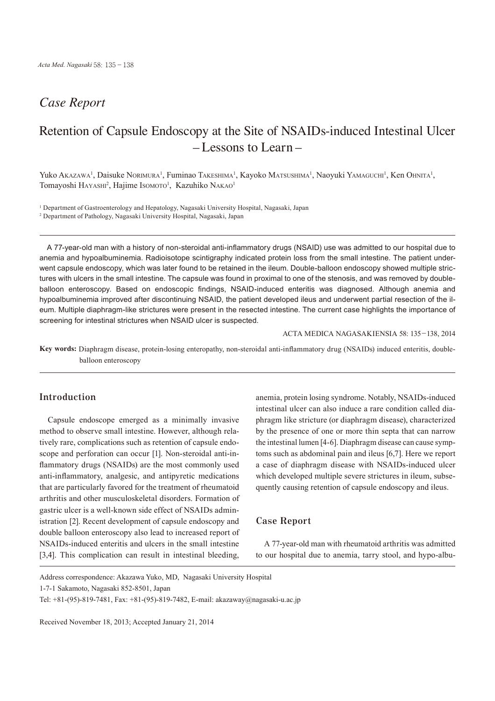## *Case Report*

# Retention of Capsule Endoscopy at the Site of NSAIDs-induced Intestinal Ulcer – Lessons to Learn –

Yuko Akazawa<sup>1</sup>, Daisuke Norimura<sup>1</sup>, Fuminao Takeshima<sup>1</sup>, Kayoko Matsushima<sup>1</sup>, Naoyuki Yamaguchi<sup>1</sup>, Ken Ohnita<sup>1</sup>, Tomayoshi HAYASHI<sup>2</sup>, Hajime Isomoto<sup>1</sup>, Kazuhiko NAKAO<sup>1</sup>

1 Department of Gastroenterology and Hepatology, Nagasaki University Hospital, Nagasaki, Japan

A 77-year-old man with a history of non-steroidal anti-inflammatory drugs (NSAID) use was admitted to our hospital due to anemia and hypoalbuminemia. Radioisotope scintigraphy indicated protein loss from the small intestine. The patient underwent capsule endoscopy, which was later found to be retained in the ileum. Double-balloon endoscopy showed multiple strictures with ulcers in the small intestine. The capsule was found in proximal to one of the stenosis, and was removed by doubleballoon enteroscopy. Based on endoscopic findings, NSAID-induced enteritis was diagnosed. Although anemia and hypoalbuminemia improved after discontinuing NSAID, the patient developed ileus and underwent partial resection of the ileum. Multiple diaphragm-like strictures were present in the resected intestine. The current case highlights the importance of screening for intestinal strictures when NSAID ulcer is suspected.

ACTA MEDICA NAGASAKIENSIA 58: 135−138, 2014

**Key words:** Diaphragm disease, protein-losing enteropathy, non-steroidal anti-inflammatory drug (NSAIDs) induced enteritis, doubleballoon enteroscopy

#### **Introduction**

Capsule endoscope emerged as a minimally invasive method to observe small intestine. However, although relatively rare, complications such as retention of capsule endoscope and perforation can occur [1]. Non-steroidal anti-inflammatory drugs (NSAIDs) are the most commonly used anti-inflammatory, analgesic, and antipyretic medications that are particularly favored for the treatment of rheumatoid arthritis and other musculoskeletal disorders. Formation of gastric ulcer is a well-known side effect of NSAIDs administration [2]. Recent development of capsule endoscopy and double balloon enteroscopy also lead to increased report of NSAIDs-induced enteritis and ulcers in the small intestine [3,4]. This complication can result in intestinal bleeding,

anemia, protein losing syndrome. Notably, NSAIDs-induced intestinal ulcer can also induce a rare condition called diaphragm like stricture (or diaphragm disease), characterized by the presence of one or more thin septa that can narrow the intestinal lumen [4-6]. Diaphragm disease can cause symptoms such as abdominal pain and ileus [6,7]. Here we report a case of diaphragm disease with NSAIDs-induced ulcer which developed multiple severe strictures in ileum, subsequently causing retention of capsule endoscopy and ileus.

#### **Case Report**

A 77-year-old man with rheumatoid arthritis was admitted to our hospital due to anemia, tarry stool, and hypo-albu-

Address correspondence: Akazawa Yuko, MD, Nagasaki University Hospital

1-7-1 Sakamoto, Nagasaki 852-8501, Japan

Tel: +81-(95)-819-7481, Fax: +81-(95)-819-7482, E-mail: akazaway@nagasaki-u.ac.jp

<sup>2</sup> Department of Pathology, Nagasaki University Hospital, Nagasaki, Japan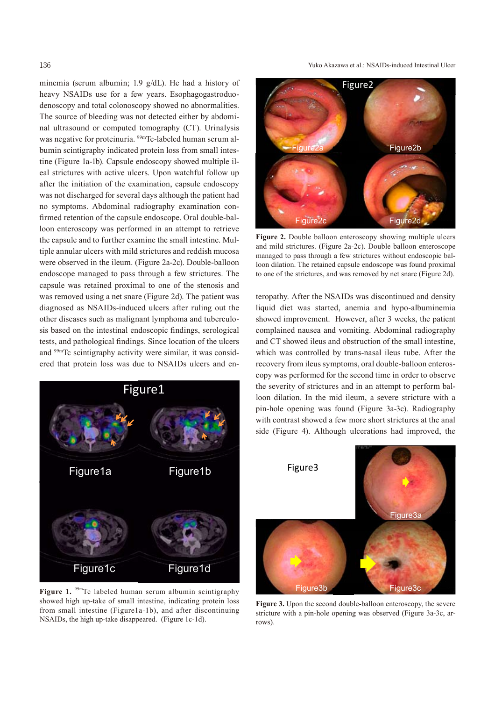minemia (serum albumin; 1.9 g/dL). He had a history of heavy NSAIDs use for a few years. Esophagogastroduodenoscopy and total colonoscopy showed no abnormalities. The source of bleeding was not detected either by abdominal ultrasound or computed tomography (CT). Urinalysis was negative for proteinuria. <sup>99m</sup>Tc-labeled human serum albumin scintigraphy indicated protein loss from small intestine (Figure 1a-1b). Capsule endoscopy showed multiple ileal strictures with active ulcers. Upon watchful follow up after the initiation of the examination, capsule endoscopy was not discharged for several days although the patient had no symptoms. Abdominal radiography examination confirmed retention of the capsule endoscope. Oral double-balloon enteroscopy was performed in an attempt to retrieve the capsule and to further examine the small intestine. Multiple annular ulcers with mild strictures and reddish mucosa were observed in the ileum. (Figure 2a-2c). Double-balloon endoscope managed to pass through a few strictures. The capsule was retained proximal to one of the stenosis and was removed using a net snare (Figure 2d). The patient was diagnosed as NSAIDs-induced ulcers after ruling out the other diseases such as malignant lymphoma and tuberculosis based on the intestinal endoscopic findings, serological tests, and pathological findings. Since location of the ulcers and 99mTc scintigraphy activity were similar, it was considered that protein loss was due to NSAIDs ulcers and en-



**Figure 1.** 99m Tc labeled human serum albumin scintigraphy showed high up-take of small intestine, indicating protein loss from small intestine (Figure1a-1b), and after discontinuing NSAIDs, the high up-take disappeared. (Figure 1c-1d).

136 Yuko Akazawa et al.: NSAIDs-induced Intestinal Ulcer



**Figure 2.** Double balloon enteroscopy showing multiple ulcers and mild strictures. (Figure 2a-2c). Double balloon enteroscope managed to pass through a few strictures without endoscopic balloon dilation. The retained capsule endoscope was found proximal to one of the strictures, and was removed by net snare (Figure 2d).

teropathy. After the NSAIDs was discontinued and density liquid diet was started, anemia and hypo-albuminemia showed improvement. However, after 3 weeks, the patient complained nausea and vomiting. Abdominal radiography and CT showed ileus and obstruction of the small intestine, which was controlled by trans-nasal ileus tube. After the recovery from ileus symptoms, oral double-balloon enteroscopy was performed for the second time in order to observe the severity of strictures and in an attempt to perform balloon dilation. In the mid ileum, a severe stricture with a pin-hole opening was found (Figure 3a-3c). Radiography with contrast showed a few more short strictures at the anal side (Figure 4). Although ulcerations had improved, the



**Figure 3.** Upon the second double-balloon enteroscopy, the severe stricture with a pin-hole opening was observed (Figure 3a-3c, arrows).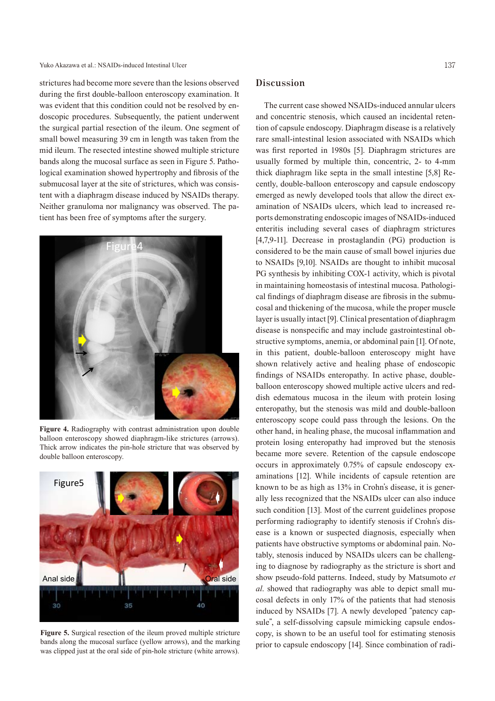strictures had become more severe than the lesions observed during the first double-balloon enteroscopy examination. It was evident that this condition could not be resolved by endoscopic procedures. Subsequently, the patient underwent the surgical partial resection of the ileum. One segment of small bowel measuring 39 cm in length was taken from the mid ileum. The resected intestine showed multiple stricture bands along the mucosal surface as seen in Figure 5. Pathological examination showed hypertrophy and fibrosis of the submucosal layer at the site of strictures, which was consistent with a diaphragm disease induced by NSAIDs therapy. Neither granuloma nor malignancy was observed. The patient has been free of symptoms after the surgery.



**Figure 4.** Radiography with contrast administration upon double balloon enteroscopy showed diaphragm-like strictures (arrows). Thick arrow indicates the pin-hole stricture that was observed by double balloon enteroscopy.



**Figure 5.** Surgical resection of the ileum proved multiple stricture bands along the mucosal surface (yellow arrows), and the marking was clipped just at the oral side of pin-hole stricture (white arrows).

### **Discussion**

The current case showed NSAIDs-induced annular ulcers and concentric stenosis, which caused an incidental retention of capsule endoscopy. Diaphragm disease is a relatively rare small-intestinal lesion associated with NSAIDs which was first reported in 1980s [5]. Diaphragm strictures are usually formed by multiple thin, concentric, 2- to 4-mm thick diaphragm like septa in the small intestine [5,8] Recently, double-balloon enteroscopy and capsule endoscopy emerged as newly developed tools that allow the direct examination of NSAIDs ulcers, which lead to increased reports demonstrating endoscopic images of NSAIDs-induced enteritis including several cases of diaphragm strictures [4,7,9-11]. Decrease in prostaglandin (PG) production is considered to be the main cause of small bowel injuries due to NSAIDs [9,10]. NSAIDs are thought to inhibit mucosal PG synthesis by inhibiting COX-1 activity, which is pivotal in maintaining homeostasis of intestinal mucosa. Pathological findings of diaphragm disease are fibrosis in the submucosal and thickening of the mucosa, while the proper muscle layer is usually intact [9]. Clinical presentation of diaphragm disease is nonspecific and may include gastrointestinal obstructive symptoms, anemia, or abdominal pain [1]. Of note, in this patient, double-balloon enteroscopy might have shown relatively active and healing phase of endoscopic findings of NSAIDs enteropathy. In active phase, doubleballoon enteroscopy showed multiple active ulcers and reddish edematous mucosa in the ileum with protein losing enteropathy, but the stenosis was mild and double-balloon enteroscopy scope could pass through the lesions. On the other hand, in healing phase, the mucosal inflammation and protein losing enteropathy had improved but the stenosis became more severe. Retention of the capsule endoscope occurs in approximately 0.75% of capsule endoscopy examinations [12]. While incidents of capsule retention are known to be as high as 13% in Crohn's disease, it is generally less recognized that the NSAIDs ulcer can also induce such condition [13]. Most of the current guidelines propose performing radiography to identify stenosis if Crohn's disease is a known or suspected diagnosis, especially when patients have obstructive symptoms or abdominal pain. Notably, stenosis induced by NSAIDs ulcers can be challenging to diagnose by radiography as the stricture is short and show pseudo-fold patterns. Indeed, study by Matsumoto *et al*. showed that radiography was able to depict small mucosal defects in only 17% of the patients that had stenosis induced by NSAIDs [7]. A newly developed "patency capsule", a self-dissolving capsule mimicking capsule endoscopy, is shown to be an useful tool for estimating stenosis prior to capsule endoscopy [14]. Since combination of radi